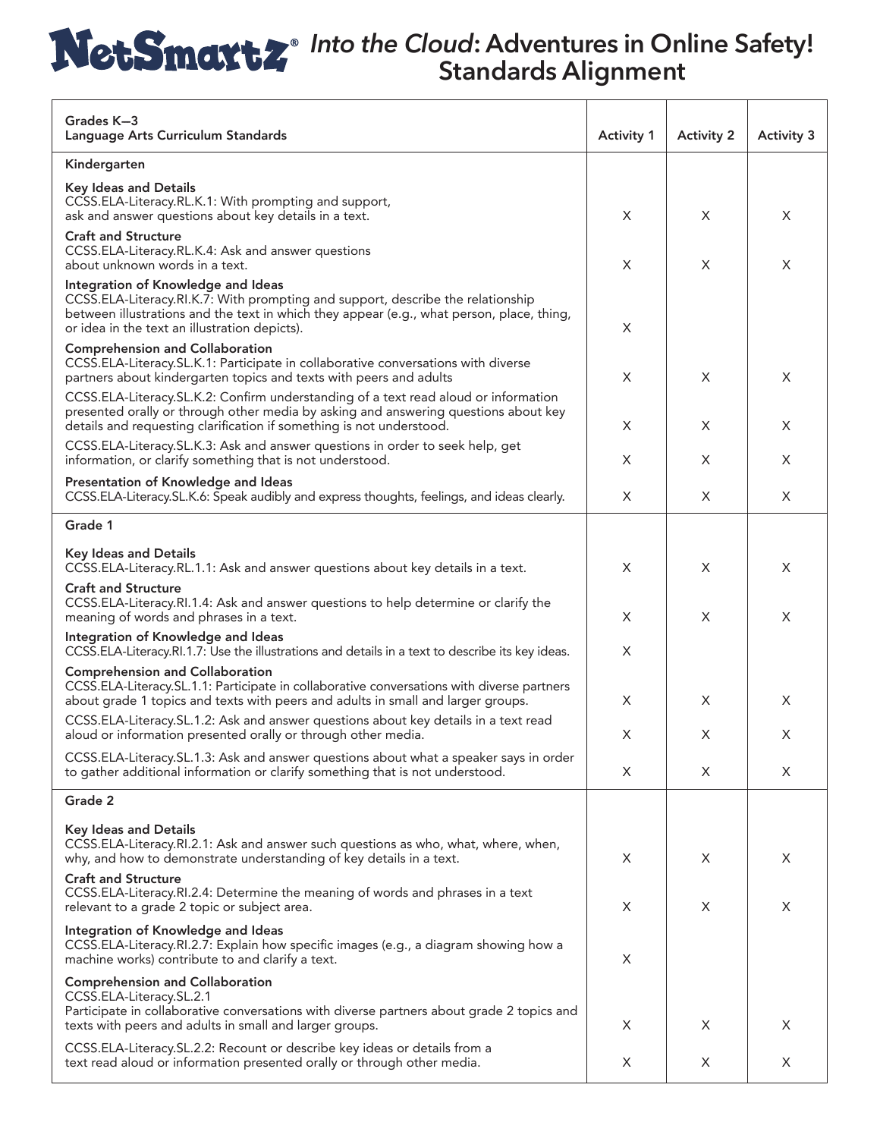| Grades K-3<br>Language Arts Curriculum Standards                                                                                                                                                                                                                    | <b>Activity 1</b> | <b>Activity 2</b> | <b>Activity 3</b> |
|---------------------------------------------------------------------------------------------------------------------------------------------------------------------------------------------------------------------------------------------------------------------|-------------------|-------------------|-------------------|
| Kindergarten                                                                                                                                                                                                                                                        |                   |                   |                   |
| <b>Key Ideas and Details</b><br>CCSS.ELA-Literacy.RL.K.1: With prompting and support,<br>ask and answer questions about key details in a text.                                                                                                                      | X                 | X                 | X                 |
| <b>Craft and Structure</b><br>CCSS.ELA-Literacy.RL.K.4: Ask and answer questions<br>about unknown words in a text.                                                                                                                                                  | X                 | X                 | X                 |
| Integration of Knowledge and Ideas<br>CCSS.ELA-Literacy.RI.K.7: With prompting and support, describe the relationship<br>between illustrations and the text in which they appear (e.g., what person, place, thing,<br>or idea in the text an illustration depicts). | X                 |                   |                   |
| <b>Comprehension and Collaboration</b><br>CCSS.ELA-Literacy.SL.K.1: Participate in collaborative conversations with diverse<br>partners about kindergarten topics and texts with peers and adults                                                                   | X                 | X                 | X                 |
| CCSS.ELA-Literacy.SL.K.2: Confirm understanding of a text read aloud or information<br>presented orally or through other media by asking and answering questions about key<br>details and requesting clarification if something is not understood.                  | X                 | X                 | X                 |
| CCSS.ELA-Literacy.SL.K.3: Ask and answer questions in order to seek help, get<br>information, or clarify something that is not understood.                                                                                                                          | X                 | X                 | X                 |
| Presentation of Knowledge and Ideas<br>CCSS.ELA-Literacy.SL.K.6: Speak audibly and express thoughts, feelings, and ideas clearly.                                                                                                                                   | X                 | X                 | X                 |
| Grade 1                                                                                                                                                                                                                                                             |                   |                   |                   |
| <b>Key Ideas and Details</b><br>CCSS.ELA-Literacy.RL.1.1: Ask and answer questions about key details in a text.                                                                                                                                                     | X                 | X                 | X                 |
| <b>Craft and Structure</b><br>CCSS.ELA-Literacy.RI.1.4: Ask and answer questions to help determine or clarify the<br>meaning of words and phrases in a text.                                                                                                        | X                 | X                 | X                 |
| Integration of Knowledge and Ideas<br>CCSS.ELA-Literacy.RI.1.7: Use the illustrations and details in a text to describe its key ideas.                                                                                                                              | X                 |                   |                   |
| <b>Comprehension and Collaboration</b><br>CCSS.ELA-Literacy.SL.1.1: Participate in collaborative conversations with diverse partners<br>about grade 1 topics and texts with peers and adults in small and larger groups.                                            | X                 | X                 | X                 |
| CCSS.ELA-Literacy.SL.1.2: Ask and answer questions about key details in a text read<br>aloud or information presented orally or through other media.                                                                                                                | X                 | X                 | X                 |
| CCSS.ELA-Literacy.SL.1.3: Ask and answer questions about what a speaker says in order<br>to gather additional information or clarify something that is not understood.                                                                                              | X                 | X                 | X                 |
| Grade 2                                                                                                                                                                                                                                                             |                   |                   |                   |
| <b>Key Ideas and Details</b><br>CCSS.ELA-Literacy.RI.2.1: Ask and answer such questions as who, what, where, when,<br>why, and how to demonstrate understanding of key details in a text.                                                                           | X                 | X                 | X                 |
| <b>Craft and Structure</b><br>CCSS.ELA-Literacy.RI.2.4: Determine the meaning of words and phrases in a text<br>relevant to a grade 2 topic or subject area.                                                                                                        | X                 | X                 | X                 |
| Integration of Knowledge and Ideas<br>CCSS.ELA-Literacy.RI.2.7: Explain how specific images (e.g., a diagram showing how a<br>machine works) contribute to and clarify a text.                                                                                      | X                 |                   |                   |
| <b>Comprehension and Collaboration</b><br>CCSS.ELA-Literacy.SL.2.1<br>Participate in collaborative conversations with diverse partners about grade 2 topics and<br>texts with peers and adults in small and larger groups.                                          | X                 | X                 | X                 |
| CCSS.ELA-Literacy.SL.2.2: Recount or describe key ideas or details from a<br>text read aloud or information presented orally or through other media.                                                                                                                | X                 | X                 | X                 |